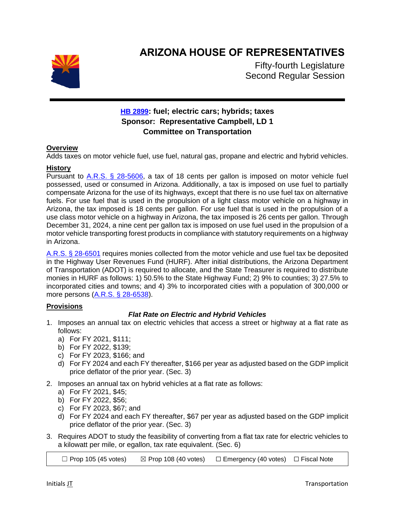

# **ARIZONA HOUSE OF REPRESENTATIVES**

Fifty-fourth Legislature Second Regular Session

## **[HB 2899](https://apps.azleg.gov/BillStatus/BillOverview/74194): fuel; electric cars; hybrids; taxes Sponsor: Representative Campbell, LD 1 Committee on Transportation**

### **Overview**

Adds taxes on motor vehicle fuel, use fuel, natural gas, propane and electric and hybrid vehicles.

### **History**

Pursuant to  $A.R.S.$  § 28-5606, a tax of 18 cents per gallon is imposed on motor vehicle fuel possessed, used or consumed in Arizona. Additionally, a tax is imposed on use fuel to partially compensate Arizona for the use of its highways, except that there is no use fuel tax on alternative fuels. For use fuel that is used in the propulsion of a light class motor vehicle on a highway in Arizona, the tax imposed is 18 cents per gallon. For use fuel that is used in the propulsion of a use class motor vehicle on a highway in Arizona, the tax imposed is 26 cents per gallon. Through December 31, 2024, a nine cent per gallon tax is imposed on use fuel used in the propulsion of a motor vehicle transporting forest products in compliance with statutory requirements on a highway in Arizona.

[A.R.S. § 28-6501](https://www.azleg.gov/viewdocument/?docName=https://www.azleg.gov/ars/28/06501.htm) requires monies collected from the motor vehicle and use fuel tax be deposited in the Highway User Revenues Fund (HURF). After initial distributions, the Arizona Department of Transportation (ADOT) is required to allocate, and the State Treasurer is required to distribute monies in HURF as follows: 1) 50.5% to the State Highway Fund; 2) 9% to counties; 3) 27.5% to incorporated cities and towns; and 4) 3% to incorporated cities with a population of 300,000 or more persons [\(A.R.S. § 28-6538\)](https://www.azleg.gov/viewdocument/?docName=https://www.azleg.gov/ars/28/06538.htm).

### **Provisions**

### *Flat Rate on Electric and Hybrid Vehicles*

- 1. Imposes an annual tax on electric vehicles that access a street or highway at a flat rate as follows:
	- a) For FY 2021, \$111;
	- b) For FY 2022, \$139;
	- c) For FY 2023, \$166; and
	- d) For FY 2024 and each FY thereafter, \$166 per year as adjusted based on the GDP implicit price deflator of the prior year. (Sec. 3)
- 2. Imposes an annual tax on hybrid vehicles at a flat rate as follows:
	- a) For FY 2021, \$45;
	- b) For FY 2022, \$56;
	- c) For FY 2023, \$67; and
	- d) For FY 2024 and each FY thereafter, \$67 per year as adjusted based on the GDP implicit price deflator of the prior year. (Sec. 3)
- 3. Requires ADOT to study the feasibility of converting from a flat tax rate for electric vehicles to a kilowatt per mile, or egallon, tax rate equivalent. (Sec. 6)

 $\Box$  Prop 105 (45 votes)  $\boxtimes$  Prop 108 (40 votes)  $\Box$  Emergency (40 votes)  $\Box$  Fiscal Note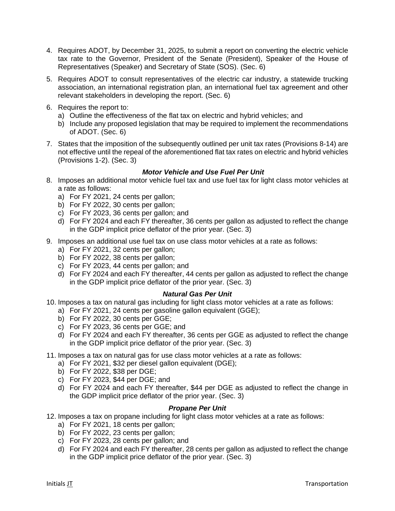- 4. Requires ADOT, by December 31, 2025, to submit a report on converting the electric vehicle tax rate to the Governor, President of the Senate (President), Speaker of the House of Representatives (Speaker) and Secretary of State (SOS). (Sec. 6)
- 5. Requires ADOT to consult representatives of the electric car industry, a statewide trucking association, an international registration plan, an international fuel tax agreement and other relevant stakeholders in developing the report. (Sec. 6)
- 6. Requires the report to:
	- a) Outline the effectiveness of the flat tax on electric and hybrid vehicles; and
	- b) Include any proposed legislation that may be required to implement the recommendations of ADOT. (Sec. 6)
- 7. States that the imposition of the subsequently outlined per unit tax rates (Provisions 8-14) are not effective until the repeal of the aforementioned flat tax rates on electric and hybrid vehicles (Provisions 1-2). (Sec. 3)

### *Motor Vehicle and Use Fuel Per Unit*

- 8. Imposes an additional motor vehicle fuel tax and use fuel tax for light class motor vehicles at a rate as follows:
	- a) For FY 2021, 24 cents per gallon;
	- b) For FY 2022, 30 cents per gallon;
	- c) For FY 2023, 36 cents per gallon; and
	- d) For FY 2024 and each FY thereafter, 36 cents per gallon as adjusted to reflect the change in the GDP implicit price deflator of the prior year. (Sec. 3)
- 9. Imposes an additional use fuel tax on use class motor vehicles at a rate as follows:
	- a) For FY 2021, 32 cents per gallon;
	- b) For FY 2022, 38 cents per gallon;
	- c) For FY 2023, 44 cents per gallon; and
	- d) For FY 2024 and each FY thereafter, 44 cents per gallon as adjusted to reflect the change in the GDP implicit price deflator of the prior year. (Sec. 3)

#### *Natural Gas Per Unit*

- 10. Imposes a tax on natural gas including for light class motor vehicles at a rate as follows:
	- a) For FY 2021, 24 cents per gasoline gallon equivalent (GGE);
	- b) For FY 2022, 30 cents per GGE;
	- c) For FY 2023, 36 cents per GGE; and
	- d) For FY 2024 and each FY thereafter, 36 cents per GGE as adjusted to reflect the change in the GDP implicit price deflator of the prior year. (Sec. 3)
- 11. Imposes a tax on natural gas for use class motor vehicles at a rate as follows:
	- a) For FY 2021, \$32 per diesel gallon equivalent (DGE);
	- b) For FY 2022, \$38 per DGE;
	- c) For FY 2023, \$44 per DGE; and
	- d) For FY 2024 and each FY thereafter, \$44 per DGE as adjusted to reflect the change in the GDP implicit price deflator of the prior year. (Sec. 3)

### *Propane Per Unit*

- 12. Imposes a tax on propane including for light class motor vehicles at a rate as follows:
	- a) For FY 2021, 18 cents per gallon;
	- b) For FY 2022, 23 cents per gallon;
	- c) For FY 2023, 28 cents per gallon; and
	- d) For FY 2024 and each FY thereafter, 28 cents per gallon as adjusted to reflect the change in the GDP implicit price deflator of the prior year. (Sec. 3)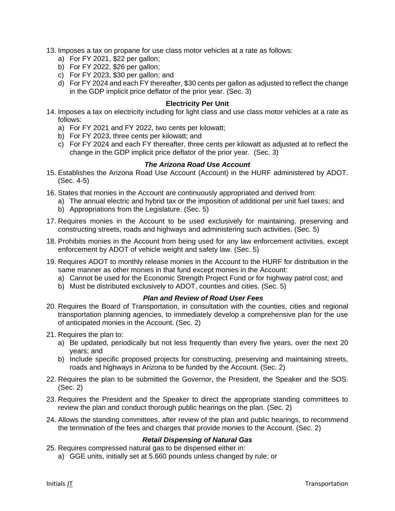- 13. Imposes a tax on propane for use class motor vehicles at a rate as follows:
	- a) For FY 2021, \$22 per gallon;
	- b) For FY 2022, \$26 per gallon;
	- c) For FY 2023, \$30 per gallon; and
	- d) For FY 2024 and each FY thereafter, \$30 cents per gallon as adjusted to reflect the change in the GDP implicit price deflator of the prior year. (Sec. 3)

#### **Electricity Per Unit**

- 14. Imposes a tax on electricity including for light class and use class motor vehicles at a rate as follows:
	- a) For FY 2021 and FY 2022, two cents per kilowatt;
	- b) For FY 2023, three cents per kilowatt; and
	- c) For FY 2024 and each FY thereafter, three cents per kilowatt as adjusted at to reflect the change in the GDP implicit price deflator of the prior year. (Sec. 3)

### *The Arizona Road Use Account*

- 15. Establishes the Arizona Road Use Account (Account) in the HURF administered by ADOT. (Sec. 4-5)
- 16. States that monies in the Account are continuously appropriated and derived from:
	- a) The annual electric and hybrid tax or the imposition of additional per unit fuel taxes; and
	- b) Appropriations from the Legislature. (Sec. 5)
- 17. Requires monies in the Account to be used exclusively for maintaining, preserving and constructing streets, roads and highways and administering such activities. (Sec. 5)
- 18. Prohibits monies in the Account from being used for any law enforcement activities, except enforcement by ADOT of vehicle weight and safety law. (Sec. 5)
- 19. Requires ADOT to monthly release monies in the Account to the HURF for distribution in the same manner as other monies in that fund except monies in the Account:
	- a) Cannot be used for the Economic Strength Project Fund or for highway patrol cost; and
	- b) Must be distributed exclusively to ADOT, counties and cities. (Sec. 5)

#### *Plan and Review of Road User Fees*

- 20. Requires the Board of Transportation, in consultation with the counties, cities and regional transportation planning agencies, to immediately develop a comprehensive plan for the use of anticipated monies in the Account. (Sec. 2)
- 21. Requires the plan to:
	- a) Be updated, periodically but not less frequently than every five years, over the next 20 years; and
	- b) Include specific proposed projects for constructing, preserving and maintaining streets, roads and highways in Arizona to be funded by the Account. (Sec. 2)
- 22. Requires the plan to be submitted the Governor, the President, the Speaker and the SOS. (Sec. 2)
- 23. Requires the President and the Speaker to direct the appropriate standing committees to review the plan and conduct thorough public hearings on the plan. (Sec. 2)
- 24. Allows the standing committees, after review of the plan and public hearings, to recommend the termination of the fees and charges that provide monies to the Account. (Sec. 2)

#### *Retail Dispensing of Natural Gas*

- 25. Requires compressed natural gas to be dispensed either in:
	- a) GGE units, initially set at 5.660 pounds unless changed by rule; or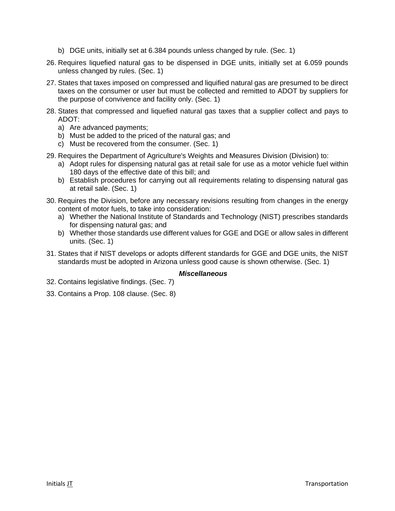- b) DGE units, initially set at 6.384 pounds unless changed by rule. (Sec. 1)
- 26. Requires liquefied natural gas to be dispensed in DGE units, initially set at 6.059 pounds unless changed by rules. (Sec. 1)
- 27. States that taxes imposed on compressed and liquified natural gas are presumed to be direct taxes on the consumer or user but must be collected and remitted to ADOT by suppliers for the purpose of convivence and facility only. (Sec. 1)
- 28. States that compressed and liquefied natural gas taxes that a supplier collect and pays to ADOT:
	- a) Are advanced payments;
	- b) Must be added to the priced of the natural gas; and
	- c) Must be recovered from the consumer. (Sec. 1)
- 29. Requires the Department of Agriculture's Weights and Measures Division (Division) to:
	- a) Adopt rules for dispensing natural gas at retail sale for use as a motor vehicle fuel within 180 days of the effective date of this bill; and
	- b) Establish procedures for carrying out all requirements relating to dispensing natural gas at retail sale. (Sec. 1)
- 30. Requires the Division, before any necessary revisions resulting from changes in the energy content of motor fuels, to take into consideration:
	- a) Whether the National Institute of Standards and Technology (NIST) prescribes standards for dispensing natural gas; and
	- b) Whether those standards use different values for GGE and DGE or allow sales in different units. (Sec. 1)
- 31. States that if NIST develops or adopts different standards for GGE and DGE units, the NIST standards must be adopted in Arizona unless good cause is shown otherwise. (Sec. 1)

#### *Miscellaneous*

- 32. Contains legislative findings. (Sec. 7)
- 33. Contains a Prop. 108 clause. (Sec. 8)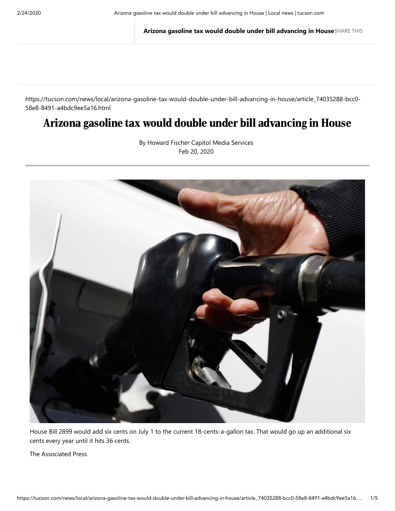**Arizona gasoline tax would double under bill advancing in House**SHARE THIS

https://tucson.com/news/local/arizona-gasoline-tax-would-double-under-bill-advancing-in-house/article\_74035288-bcc0- 58e8-8491-a4bdc9ee5a16.html

# Arizona gasoline tax would double under bill advancing in House

By Howard Fischer Capitol Media Services Feb 20, 2020



House Bill 2899 would add six cents on July 1 to the current 18-cents-a-gallon tax. That would go up an additional six cents every year until it hits 36 cents.

The Associated Press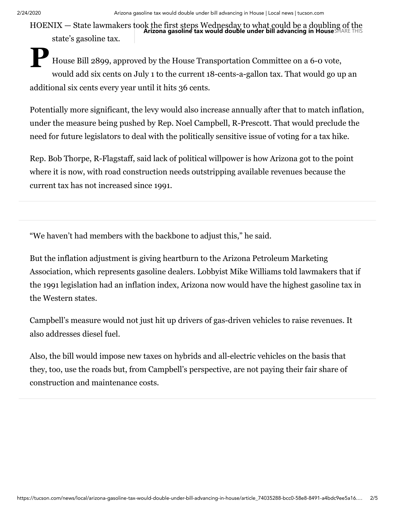2/24/2020 Arizona gasoline tax would double under bill advancing in House | Local news | tucson.com

HOENIX — State lawmakers took the first steps Wednesday to what could be a doubling of the **Arizona gasoline tax would double under bill advancing in House**SHARE THISstate's gasoline tax.

**P** House Bill 2899, approved by the House Transportation Committee on a 6-0 vote, would add six cents on July 1 to the current 18-cents-a-gallon tax. That would go up an additional six cents every year until it hits 36 cents.

Potentially more significant, the levy would also increase annually after that to match inflation, under the measure being pushed by Rep. Noel Campbell, R-Prescott. That would preclude the need for future legislators to deal with the politically sensitive issue of voting for a tax hike.

Rep. Bob Thorpe, R-Flagstaff, said lack of political willpower is how Arizona got to the point where it is now, with road construction needs outstripping available revenues because the current tax has not increased since 1991.

"We haven't had members with the backbone to adjust this," he said.

But the inflation adjustment is giving heartburn to the Arizona Petroleum Marketing Association, which represents gasoline dealers. Lobbyist Mike Williams told lawmakers that if the 1991 legislation had an inflation index, Arizona now would have the highest gasoline tax in the Western states.

Campbell's measure would not just hit up drivers of gas-driven vehicles to raise revenues. It also addresses diesel fuel.

Also, the bill would impose new taxes on hybrids and all-electric vehicles on the basis that they, too, use the roads but, from Campbell's perspective, are not paying their fair share of construction and maintenance costs.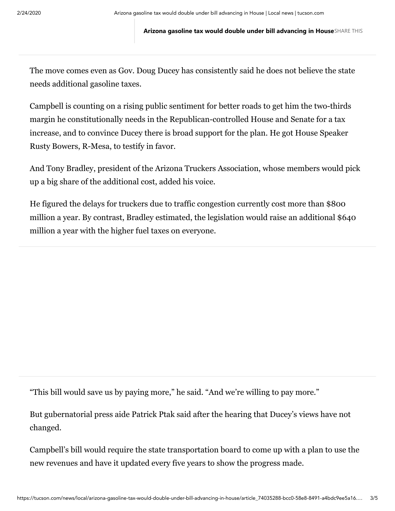**Arizona gasoline tax would double under bill advancing in House**SHARE THIS

The move comes even as Gov. Doug Ducey has consistently said he does not believe the state needs additional gasoline taxes.

Campbell is counting on a rising public sentiment for better roads to get him the two-thirds margin he constitutionally needs in the Republican-controlled House and Senate for a tax increase, and to convince Ducey there is broad support for the plan. He got House Speaker Rusty Bowers, R-Mesa, to testify in favor.

And Tony Bradley, president of the Arizona Truckers Association, whose members would pick up a big share of the additional cost, added his voice.

He figured the delays for truckers due to traffic congestion currently cost more than \$800 million a year. By contrast, Bradley estimated, the legislation would raise an additional \$640 million a year with the higher fuel taxes on everyone.

"This bill would save us by paying more," he said. "And we're willing to pay more."

But gubernatorial press aide Patrick Ptak said after the hearing that Ducey's views have not changed.

Campbell's bill would require the state transportation board to come up with a plan to use the new revenues and have it updated every five years to show the progress made.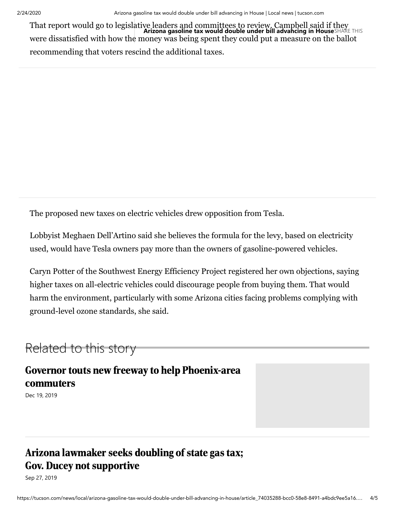That report would go to legislative leaders and committees to review. Campbell said if they **Arizona gasoline tax would double under bill advancing in House**SHARE THISwere dissatisfied with how the money was being spent they could put a measure on the ballot recommending that voters rescind the additional taxes.

The proposed new taxes on electric vehicles drew opposition from Tesla.

Lobbyist Meghaen Dell'Artino said she believes the formula for the levy, based on electricity used, would have Tesla owners pay more than the owners of gasoline-powered vehicles.

Caryn Potter of the Southwest Energy Efficiency Project registered her own objections, saying higher taxes on all-electric vehicles could discourage people from buying them. That would harm the environment, particularly with some Arizona cities facing problems complying with ground-level ozone standards, she said.

# Related to this story

Governor touts new freeway to help Phoenix-area commuters

Dec 19, 2019

# Arizona lawmaker seeks doubling of state gas tax; Gov. Ducey not [supportive](https://tucson.com/news/local/arizona-lawmaker-seeks-doubling-of-state-gas-tax-gov-ducey/article_ebbdb9d8-1985-5e8e-aa21-006433adbc2a.html)

Sep 27, 2019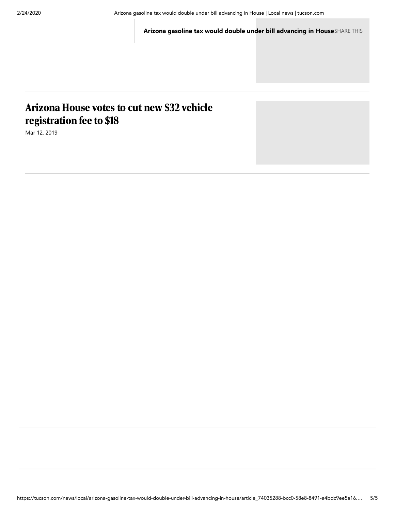**Arizona gasoline tax would double un[der bill advancing in House](https://tucson.com/news/local/arizona-lawmaker-seeks-doubling-of-state-gas-tax-gov-ducey/article_ebbdb9d8-1985-5e8e-aa21-006433adbc2a.html)**SHARE THIS

# Arizona House votes to cut new \$32 vehicle [registration](https://tucson.com/news/local/arizona-house-votes-to-cut-new-vehicle-registration-fee-to/article_84c8b2a2-8974-52fe-b714-c9e15d102687.html) fee to \$18

Mar 12, 2019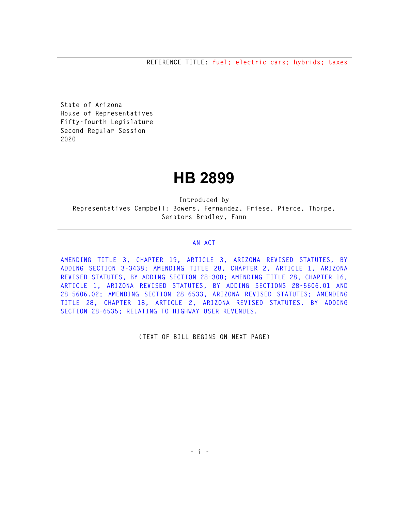**REFERENCE TITLE: fuel; electric cars; hybrids; taxes** 

**State of Arizona House of Representatives Fifty-fourth Legislature Second Regular Session 2020** 

# **HB 2899**

**Introduced by Representatives Campbell: Bowers, Fernandez, Friese, Pierce, Thorpe, Senators Bradley, Fann** 

#### **AN ACT**

**AMENDING TITLE 3, CHAPTER 19, ARTICLE 3, ARIZONA REVISED STATUTES, BY ADDING SECTION 3-3438; AMENDING TITLE 28, CHAPTER 2, ARTICLE 1, ARIZONA REVISED STATUTES, BY ADDING SECTION 28-308; AMENDING TITLE 28, CHAPTER 16, ARTICLE 1, ARIZONA REVISED STATUTES, BY ADDING SECTIONS 28-5606.01 AND 28-5606.02; AMENDING SECTION 28-6533, ARIZONA REVISED STATUTES; AMENDING TITLE 28, CHAPTER 18, ARTICLE 2, ARIZONA REVISED STATUTES, BY ADDING SECTION 28-6535; RELATING TO HIGHWAY USER REVENUES.** 

**(TEXT OF BILL BEGINS ON NEXT PAGE)**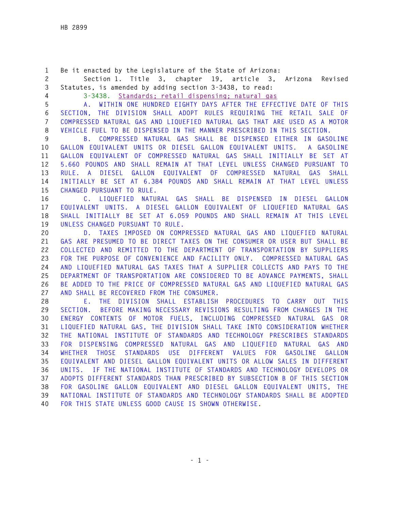**1 Be it enacted by the Legislature of the State of Arizona: 2 Section 1. Title 3, chapter 19, article 3, Arizona Revised 3 Statutes, is amended by adding section 3-3438, to read: 4 3-3438. Standards; retail dispensing; natural gas 5 A. WITHIN ONE HUNDRED EIGHTY DAYS AFTER THE EFFECTIVE DATE OF THIS 6 SECTION, THE DIVISION SHALL ADOPT RULES REQUIRING THE RETAIL SALE OF 7 COMPRESSED NATURAL GAS AND LIQUEFIED NATURAL GAS THAT ARE USED AS A MOTOR 8 VEHICLE FUEL TO BE DISPENSED IN THE MANNER PRESCRIBED IN THIS SECTION. 9 B. COMPRESSED NATURAL GAS SHALL BE DISPENSED EITHER IN GASOLINE 10 GALLON EQUIVALENT UNITS OR DIESEL GALLON EQUIVALENT UNITS. A GASOLINE 11 GALLON EQUIVALENT OF COMPRESSED NATURAL GAS SHALL INITIALLY BE SET AT 12 5.660 POUNDS AND SHALL REMAIN AT THAT LEVEL UNLESS CHANGED PURSUANT TO 13 RULE. A DIESEL GALLON EQUIVALENT OF COMPRESSED NATURAL GAS SHALL 14 INITIALLY BE SET AT 6.384 POUNDS AND SHALL REMAIN AT THAT LEVEL UNLESS 15 CHANGED PURSUANT TO RULE. 16 C. LIQUEFIED NATURAL GAS SHALL BE DISPENSED IN DIESEL GALLON 17 EQUIVALENT UNITS. A DIESEL GALLON EQUIVALENT OF LIQUEFIED NATURAL GAS 18 SHALL INITIALLY BE SET AT 6.059 POUNDS AND SHALL REMAIN AT THIS LEVEL 19 UNLESS CHANGED PURSUANT TO RULE. 20 D. TAXES IMPOSED ON COMPRESSED NATURAL GAS AND LIQUEFIED NATURAL 21 GAS ARE PRESUMED TO BE DIRECT TAXES ON THE CONSUMER OR USER BUT SHALL BE 22 COLLECTED AND REMITTED TO THE DEPARTMENT OF TRANSPORTATION BY SUPPLIERS 23 FOR THE PURPOSE OF CONVENIENCE AND FACILITY ONLY. COMPRESSED NATURAL GAS 24 AND LIQUEFIED NATURAL GAS TAXES THAT A SUPPLIER COLLECTS AND PAYS TO THE 25 DEPARTMENT OF TRANSPORTATION ARE CONSIDERED TO BE ADVANCE PAYMENTS, SHALL 26 BE ADDED TO THE PRICE OF COMPRESSED NATURAL GAS AND LIQUEFIED NATURAL GAS 27 AND SHALL BE RECOVERED FROM THE CONSUMER. 28 E. THE DIVISION SHALL ESTABLISH PROCEDURES TO CARRY OUT THIS 29 SECTION. BEFORE MAKING NECESSARY REVISIONS RESULTING FROM CHANGES IN THE 30 ENERGY CONTENTS OF MOTOR FUELS, INCLUDING COMPRESSED NATURAL GAS OR 31 LIQUEFIED NATURAL GAS, THE DIVISION SHALL TAKE INTO CONSIDERATION WHETHER 32 THE NATIONAL INSTITUTE OF STANDARDS AND TECHNOLOGY PRESCRIBES STANDARDS 33 FOR DISPENSING COMPRESSED NATURAL GAS AND LIQUEFIED NATURAL GAS AND 34 WHETHER THOSE STANDARDS USE DIFFERENT VALUES FOR GASOLINE GALLON 35 EQUIVALENT AND DIESEL GALLON EQUIVALENT UNITS OR ALLOW SALES IN DIFFERENT 36 UNITS. IF THE NATIONAL INSTITUTE OF STANDARDS AND TECHNOLOGY DEVELOPS OR 37 ADOPTS DIFFERENT STANDARDS THAN PRESCRIBED BY SUBSECTION B OF THIS SECTION 38 FOR GASOLINE GALLON EQUIVALENT AND DIESEL GALLON EQUIVALENT UNITS, THE 39 NATIONAL INSTITUTE OF STANDARDS AND TECHNOLOGY STANDARDS SHALL BE ADOPTED 40 FOR THIS STATE UNLESS GOOD CAUSE IS SHOWN OTHERWISE.**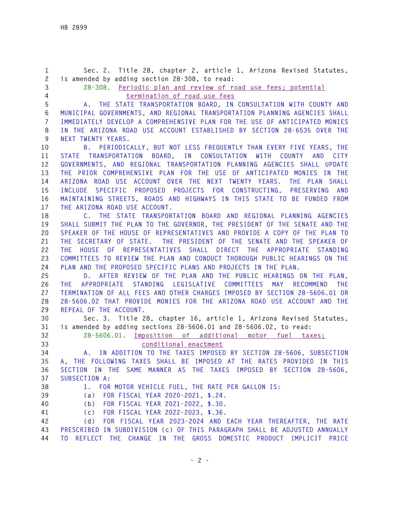**1 Sec. 2. Title 28, chapter 2, article 1, Arizona Revised Statutes, 2 is amended by adding section 28-308, to read: 3 28-308. Periodic plan and review of road use fees; potential 4 termination of road use fees 5 A. THE STATE TRANSPORTATION BOARD, IN CONSULTATION WITH COUNTY AND 6 MUNICIPAL GOVERNMENTS, AND REGIONAL TRANSPORTATION PLANNING AGENCIES SHALL 7 IMMEDIATELY DEVELOP A COMPREHENSIVE PLAN FOR THE USE OF ANTICIPATED MONIES 8 IN THE ARIZONA ROAD USE ACCOUNT ESTABLISHED BY SECTION 28-6535 OVER THE 9 NEXT TWENTY YEARS. 10 B. PERIODICALLY, BUT NOT LESS FREQUENTLY THAN EVERY FIVE YEARS, THE 11 STATE TRANSPORTATION BOARD, IN CONSULTATION WITH COUNTY AND CITY 12 GOVERNMENTS, AND REGIONAL TRANSPORTATION PLANNING AGENCIES SHALL UPDATE 13 THE PRIOR COMPREHENSIVE PLAN FOR THE USE OF ANTICIPATED MONIES IN THE 14 ARIZONA ROAD USE ACCOUNT OVER THE NEXT TWENTY YEARS. THE PLAN SHALL 15 INCLUDE SPECIFIC PROPOSED PROJECTS FOR CONSTRUCTING, PRESERVING AND 16 MAINTAINING STREETS, ROADS AND HIGHWAYS IN THIS STATE TO BE FUNDED FROM 17 THE ARIZONA ROAD USE ACCOUNT. 18 C. THE STATE TRANSPORTATION BOARD AND REGIONAL PLANNING AGENCIES 19 SHALL SUBMIT THE PLAN TO THE GOVERNOR, THE PRESIDENT OF THE SENATE AND THE 20 SPEAKER OF THE HOUSE OF REPRESENTATIVES AND PROVIDE A COPY OF THE PLAN TO 21 THE SECRETARY OF STATE. THE PRESIDENT OF THE SENATE AND THE SPEAKER OF 22 THE HOUSE OF REPRESENTATIVES SHALL DIRECT THE APPROPRIATE STANDING 23 COMMITTEES TO REVIEW THE PLAN AND CONDUCT THOROUGH PUBLIC HEARINGS ON THE 24 PLAN AND THE PROPOSED SPECIFIC PLANS AND PROJECTS IN THE PLAN. 25 D. AFTER REVIEW OF THE PLAN AND THE PUBLIC HEARINGS ON THE PLAN, 26 THE APPROPRIATE STANDING LEGISLATIVE COMMITTEES MAY RECOMMEND THE 27 TERMINATION OF ALL FEES AND OTHER CHARGES IMPOSED BY SECTION 28-5606.01 OR 28 28-5606.02 THAT PROVIDE MONIES FOR THE ARIZONA ROAD USE ACCOUNT AND THE 29 REPEAL OF THE ACCOUNT. 30 Sec. 3. Title 28, chapter 16, article 1, Arizona Revised Statutes, 31 is amended by adding sections 28-5606.01 and 28-5606.02, to read: 32 28-5606.01. Imposition of additional motor fuel taxes; 33 conditional enactment 34 A. IN ADDITION TO THE TAXES IMPOSED BY SECTION 28-5606, SUBSECTION 35 A, THE FOLLOWING TAXES SHALL BE IMPOSED AT THE RATES PROVIDED IN THIS 36 SECTION IN THE SAME MANNER AS THE TAXES IMPOSED BY SECTION 28-5606, 37 SUBSECTION A: 38 1. FOR MOTOR VEHICLE FUEL, THE RATE PER GALLON IS: 39 (a) FOR FISCAL YEAR 2020-2021, \$.24. 40 (b) FOR FISCAL YEAR 2021-2022, \$.30. 41 (c) FOR FISCAL YEAR 2022-2023, \$.36. 42 (d) FOR FISCAL YEAR 2023-2024 AND EACH YEAR THEREAFTER, THE RATE 43 PRESCRIBED IN SUBDIVISION (c) OF THIS PARAGRAPH SHALL BE ADJUSTED ANNUALLY 44 TO REFLECT THE CHANGE IN THE GROSS DOMESTIC PRODUCT IMPLICIT PRICE**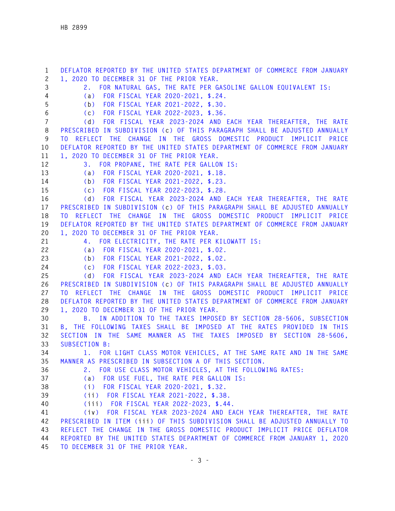**1 DEFLATOR REPORTED BY THE UNITED STATES DEPARTMENT OF COMMERCE FROM JANUARY 2 1, 2020 TO DECEMBER 31 OF THE PRIOR YEAR. 3 2. FOR NATURAL GAS, THE RATE PER GASOLINE GALLON EQUIVALENT IS: 4 (a) FOR FISCAL YEAR 2020-2021, \$.24. 5 (b) FOR FISCAL YEAR 2021-2022, \$.30. 6 (c) FOR FISCAL YEAR 2022-2023, \$.36. 7 (d) FOR FISCAL YEAR 2023-2024 AND EACH YEAR THEREAFTER, THE RATE 8 PRESCRIBED IN SUBDIVISION (c) OF THIS PARAGRAPH SHALL BE ADJUSTED ANNUALLY 9 TO REFLECT THE CHANGE IN THE GROSS DOMESTIC PRODUCT IMPLICIT PRICE 10 DEFLATOR REPORTED BY THE UNITED STATES DEPARTMENT OF COMMERCE FROM JANUARY 11 1, 2020 TO DECEMBER 31 OF THE PRIOR YEAR. 12 3. FOR PROPANE, THE RATE PER GALLON IS: 13 (a) FOR FISCAL YEAR 2020-2021, \$.18. 14 (b) FOR FISCAL YEAR 2021-2022, \$.23. 15 (c) FOR FISCAL YEAR 2022-2023, \$.28. 16 (d) FOR FISCAL YEAR 2023-2024 AND EACH YEAR THEREAFTER, THE RATE 17 PRESCRIBED IN SUBDIVISION (c) OF THIS PARAGRAPH SHALL BE ADJUSTED ANNUALLY 18 TO REFLECT THE CHANGE IN THE GROSS DOMESTIC PRODUCT IMPLICIT PRICE 19 DEFLATOR REPORTED BY THE UNITED STATES DEPARTMENT OF COMMERCE FROM JANUARY 20 1, 2020 TO DECEMBER 31 OF THE PRIOR YEAR. 21 4. FOR ELECTRICITY, THE RATE PER KILOWATT IS: 22 (a) FOR FISCAL YEAR 2020-2021, \$.02. 23 (b) FOR FISCAL YEAR 2021-2022, \$.02. 24 (c) FOR FISCAL YEAR 2022-2023, \$.03. 25 (d) FOR FISCAL YEAR 2023-2024 AND EACH YEAR THEREAFTER, THE RATE 26 PRESCRIBED IN SUBDIVISION (c) OF THIS PARAGRAPH SHALL BE ADJUSTED ANNUALLY 27 TO REFLECT THE CHANGE IN THE GROSS DOMESTIC PRODUCT IMPLICIT PRICE 28 DEFLATOR REPORTED BY THE UNITED STATES DEPARTMENT OF COMMERCE FROM JANUARY 29 1, 2020 TO DECEMBER 31 OF THE PRIOR YEAR. 30 B. IN ADDITION TO THE TAXES IMPOSED BY SECTION 28-5606, SUBSECTION 31 B, THE FOLLOWING TAXES SHALL BE IMPOSED AT THE RATES PROVIDED IN THIS 32 SECTION IN THE SAME MANNER AS THE TAXES IMPOSED BY SECTION 28-5606, 33 SUBSECTION B: 34 1. FOR LIGHT CLASS MOTOR VEHICLES, AT THE SAME RATE AND IN THE SAME 35 MANNER AS PRESCRIBED IN SUBSECTION A OF THIS SECTION. 36 2. FOR USE CLASS MOTOR VEHICLES, AT THE FOLLOWING RATES: 37 (a) FOR USE FUEL, THE RATE PER GALLON IS: 38 (i) FOR FISCAL YEAR 2020-2021, \$.32. 39 (ii) FOR FISCAL YEAR 2021-2022, \$.38. 40 (iii) FOR FISCAL YEAR 2022-2023, \$.44. 41 (iv) FOR FISCAL YEAR 2023-2024 AND EACH YEAR THEREAFTER, THE RATE 42 PRESCRIBED IN ITEM (iii) OF THIS SUBDIVISION SHALL BE ADJUSTED ANNUALLY TO 43 REFLECT THE CHANGE IN THE GROSS DOMESTIC PRODUCT IMPLICIT PRICE DEFLATOR 44 REPORTED BY THE UNITED STATES DEPARTMENT OF COMMERCE FROM JANUARY 1, 2020 45 TO DECEMBER 31 OF THE PRIOR YEAR.**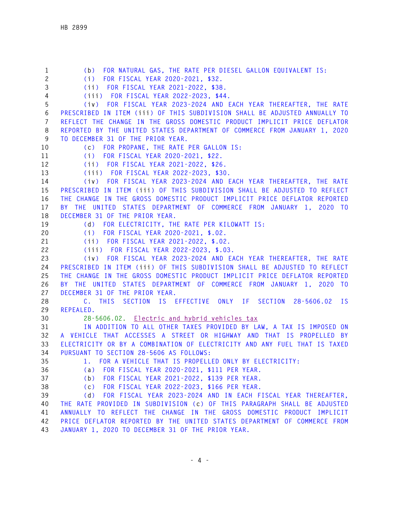**1 (b) FOR NATURAL GAS, THE RATE PER DIESEL GALLON EQUIVALENT IS: 2 (i) FOR FISCAL YEAR 2020-2021, \$32. 3 (ii) FOR FISCAL YEAR 2021-2022, \$38. 4 (iii) FOR FISCAL YEAR 2022-2023, \$44. 5 (iv) FOR FISCAL YEAR 2023-2024 AND EACH YEAR THEREAFTER, THE RATE 6 PRESCRIBED IN ITEM (iii) OF THIS SUBDIVISION SHALL BE ADJUSTED ANNUALLY TO 7 REFLECT THE CHANGE IN THE GROSS DOMESTIC PRODUCT IMPLICIT PRICE DEFLATOR 8 REPORTED BY THE UNITED STATES DEPARTMENT OF COMMERCE FROM JANUARY 1, 2020 9 TO DECEMBER 31 OF THE PRIOR YEAR. 10 (c) FOR PROPANE, THE RATE PER GALLON IS: 11 (i) FOR FISCAL YEAR 2020-2021, \$22. 12 (ii) FOR FISCAL YEAR 2021-2022, \$26. 13 (iii) FOR FISCAL YEAR 2022-2023, \$30. 14 (iv) FOR FISCAL YEAR 2023-2024 AND EACH YEAR THEREAFTER, THE RATE 15 PRESCRIBED IN ITEM (iii) OF THIS SUBDIVISION SHALL BE ADJUSTED TO REFLECT 16 THE CHANGE IN THE GROSS DOMESTIC PRODUCT IMPLICIT PRICE DEFLATOR REPORTED 17 BY THE UNITED STATES DEPARTMENT OF COMMERCE FROM JANUARY 1, 2020 TO 18 DECEMBER 31 OF THE PRIOR YEAR. 19 (d) FOR ELECTRICITY, THE RATE PER KILOWATT IS: 20 (i) FOR FISCAL YEAR 2020-2021, \$.02. 21 (ii) FOR FISCAL YEAR 2021-2022, \$.02. 22 (iii) FOR FISCAL YEAR 2022-2023, \$.03. 23 (iv) FOR FISCAL YEAR 2023-2024 AND EACH YEAR THEREAFTER, THE RATE 24 PRESCRIBED IN ITEM (iii) OF THIS SUBDIVISION SHALL BE ADJUSTED TO REFLECT 25 THE CHANGE IN THE GROSS DOMESTIC PRODUCT IMPLICIT PRICE DEFLATOR REPORTED 26 BY THE UNITED STATES DEPARTMENT OF COMMERCE FROM JANUARY 1, 2020 TO 27 DECEMBER 31 OF THE PRIOR YEAR. 28 C. THIS SECTION IS EFFECTIVE ONLY IF SECTION 28-5606.02 IS 29 REPEALED. 30 28-5606.02. Electric and hybrid vehicles tax 31 IN ADDITION TO ALL OTHER TAXES PROVIDED BY LAW, A TAX IS IMPOSED ON 32 A VEHICLE THAT ACCESSES A STREET OR HIGHWAY AND THAT IS PROPELLED BY 33 ELECTRICITY OR BY A COMBINATION OF ELECTRICITY AND ANY FUEL THAT IS TAXED 34 PURSUANT TO SECTION 28-5606 AS FOLLOWS: 35 1. FOR A VEHICLE THAT IS PROPELLED ONLY BY ELECTRICITY: 36 (a) FOR FISCAL YEAR 2020-2021, \$111 PER YEAR. 37 (b) FOR FISCAL YEAR 2021-2022, \$139 PER YEAR. 38 (c) FOR FISCAL YEAR 2022-2023, \$166 PER YEAR. 39 (d) FOR FISCAL YEAR 2023-2024 AND IN EACH FISCAL YEAR THEREAFTER, 40 THE RATE PROVIDED IN SUBDIVISION (c) OF THIS PARAGRAPH SHALL BE ADJUSTED 41 ANNUALLY TO REFLECT THE CHANGE IN THE GROSS DOMESTIC PRODUCT IMPLICIT 42 PRICE DEFLATOR REPORTED BY THE UNITED STATES DEPARTMENT OF COMMERCE FROM 43 JANUARY 1, 2020 TO DECEMBER 31 OF THE PRIOR YEAR.**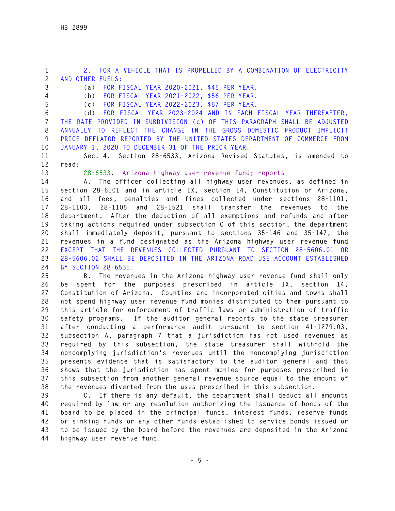**1 2. FOR A VEHICLE THAT IS PROPELLED BY A COMBINATION OF ELECTRICITY 2 AND OTHER FUELS:** 

**3 (a) FOR FISCAL YEAR 2020-2021, \$45 PER YEAR.** 

**4 (b) FOR FISCAL YEAR 2021-2022, \$56 PER YEAR.** 

**5 (c) FOR FISCAL YEAR 2022-2023, \$67 PER YEAR.** 

**6 (d) FOR FISCAL YEAR 2023-2024 AND IN EACH FISCAL YEAR THEREAFTER, 7 THE RATE PROVIDED IN SUBDIVISION (c) OF THIS PARAGRAPH SHALL BE ADJUSTED 8 ANNUALLY TO REFLECT THE CHANGE IN THE GROSS DOMESTIC PRODUCT IMPLICIT 9 PRICE DEFLATOR REPORTED BY THE UNITED STATES DEPARTMENT OF COMMERCE FROM 10 JANUARY 1, 2020 TO DECEMBER 31 OF THE PRIOR YEAR.** 

**11 Sec. 4. Section 28-6533, Arizona Revised Statutes, is amended to 12 read:** 

**13 28-6533. Arizona highway user revenue fund; reports**

**14 A. The officer collecting all highway user revenues, as defined in 15 section 28-6501 and in article IX, section 14, Constitution of Arizona, 16 and all fees, penalties and fines collected under sections 28-1101, 17 28-1103, 28-1105 and 28-1521 shall transfer the revenues to the 18 department. After the deduction of all exemptions and refunds and after 19 taking actions required under subsection C of this section, the department 20 shall immediately deposit, pursuant to sections 35-146 and 35-147, the 21 revenues in a fund designated as the Arizona highway user revenue fund 22 EXCEPT THAT THE REVENUES COLLECTED PURSUANT TO SECTION 28-5606.01 OR 23 28-5606.02 SHALL BE DEPOSITED IN THE ARIZONA ROAD USE ACCOUNT ESTABLISHED 24 BY SECTION 28-6535.** 

**25 B. The revenues in the Arizona highway user revenue fund shall only 26 be spent for the purposes prescribed in article IX, section 14, 27 Constitution of Arizona. Counties and incorporated cities and towns shall 28 not spend highway user revenue fund monies distributed to them pursuant to 29 this article for enforcement of traffic laws or administration of traffic 30 safety programs. If the auditor general reports to the state treasurer 31 after conducting a performance audit pursuant to section 41-1279.03, 32 subsection A, paragraph 7 that a jurisdiction has not used revenues as 33 required by this subsection, the state treasurer shall withhold the 34 noncomplying jurisdiction's revenues until the noncomplying jurisdiction 35 presents evidence that is satisfactory to the auditor general and that 36 shows that the jurisdiction has spent monies for purposes prescribed in 37 this subsection from another general revenue source equal to the amount of 38 the revenues diverted from the uses prescribed in this subsection.** 

**39 C. If there is any default, the department shall deduct all amounts 40 required by law or any resolution authorizing the issuance of bonds of the 41 board to be placed in the principal funds, interest funds, reserve funds 42 or sinking funds or any other funds established to service bonds issued or 43 to be issued by the board before the revenues are deposited in the Arizona 44 highway user revenue fund.**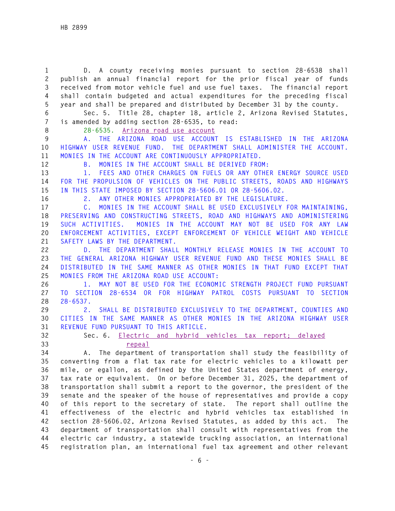**1 D. A county receiving monies pursuant to section 28-6538 shall 2 publish an annual financial report for the prior fiscal year of funds 3 received from motor vehicle fuel and use fuel taxes. The financial report 4 shall contain budgeted and actual expenditures for the preceding fiscal 5 year and shall be prepared and distributed by December 31 by the county.** 

**6 Sec. 5. Title 28, chapter 18, article 2, Arizona Revised Statutes, 7 is amended by adding section 28-6535, to read:** 

**8 28-6535. Arizona road use account** 

**9 A. THE ARIZONA ROAD USE ACCOUNT IS ESTABLISHED IN THE ARIZONA 10 HIGHWAY USER REVENUE FUND. THE DEPARTMENT SHALL ADMINISTER THE ACCOUNT. 11 MONIES IN THE ACCOUNT ARE CONTINUOUSLY APPROPRIATED.** 

**12 B. MONIES IN THE ACCOUNT SHALL BE DERIVED FROM:** 

**13 1. FEES AND OTHER CHARGES ON FUELS OR ANY OTHER ENERGY SOURCE USED 14 FOR THE PROPULSION OF VEHICLES ON THE PUBLIC STREETS, ROADS AND HIGHWAYS 15 IN THIS STATE IMPOSED BY SECTION 28-5606.01 OR 28-5606.02.** 

**16 2. ANY OTHER MONIES APPROPRIATED BY THE LEGISLATURE.** 

**17 C. MONIES IN THE ACCOUNT SHALL BE USED EXCLUSIVELY FOR MAINTAINING, 18 PRESERVING AND CONSTRUCTING STREETS, ROAD AND HIGHWAYS AND ADMINISTERING 19 SUCH ACTIVITIES. MONIES IN THE ACCOUNT MAY NOT BE USED FOR ANY LAW 20 ENFORCEMENT ACTIVITIES, EXCEPT ENFORCEMENT OF VEHICLE WEIGHT AND VEHICLE 21 SAFETY LAWS BY THE DEPARTMENT.** 

**22 D. THE DEPARTMENT SHALL MONTHLY RELEASE MONIES IN THE ACCOUNT TO 23 THE GENERAL ARIZONA HIGHWAY USER REVENUE FUND AND THESE MONIES SHALL BE 24 DISTRIBUTED IN THE SAME MANNER AS OTHER MONIES IN THAT FUND EXCEPT THAT 25 MONIES FROM THE ARIZONA ROAD USE ACCOUNT:** 

**26 1. MAY NOT BE USED FOR THE ECONOMIC STRENGTH PROJECT FUND PURSUANT 27 TO SECTION 28-6534 OR FOR HIGHWAY PATROL COSTS PURSUANT TO SECTION 28 28-6537.** 

**29 2. SHALL BE DISTRIBUTED EXCLUSIVELY TO THE DEPARTMENT, COUNTIES AND 30 CITIES IN THE SAME MANNER AS OTHER MONIES IN THE ARIZONA HIGHWAY USER 31 REVENUE FUND PURSUANT TO THIS ARTICLE.** 

**32 Sec. 6. Electric and hybrid vehicles tax report; delayed 33 repeal**

**34 A. The department of transportation shall study the feasibility of 35 converting from a flat tax rate for electric vehicles to a kilowatt per 36 mile, or egallon, as defined by the United States department of energy, 37 tax rate or equivalent. On or before December 31, 2025, the department of 38 transportation shall submit a report to the governor, the president of the 39 senate and the speaker of the house of representatives and provide a copy 40 of this report to the secretary of state. The report shall outline the 41 effectiveness of the electric and hybrid vehicles tax established in 42 section 28-5606.02, Arizona Revised Statutes, as added by this act. The 43 department of transportation shall consult with representatives from the 44 electric car industry, a statewide trucking association, an international 45 registration plan, an international fuel tax agreement and other relevant**